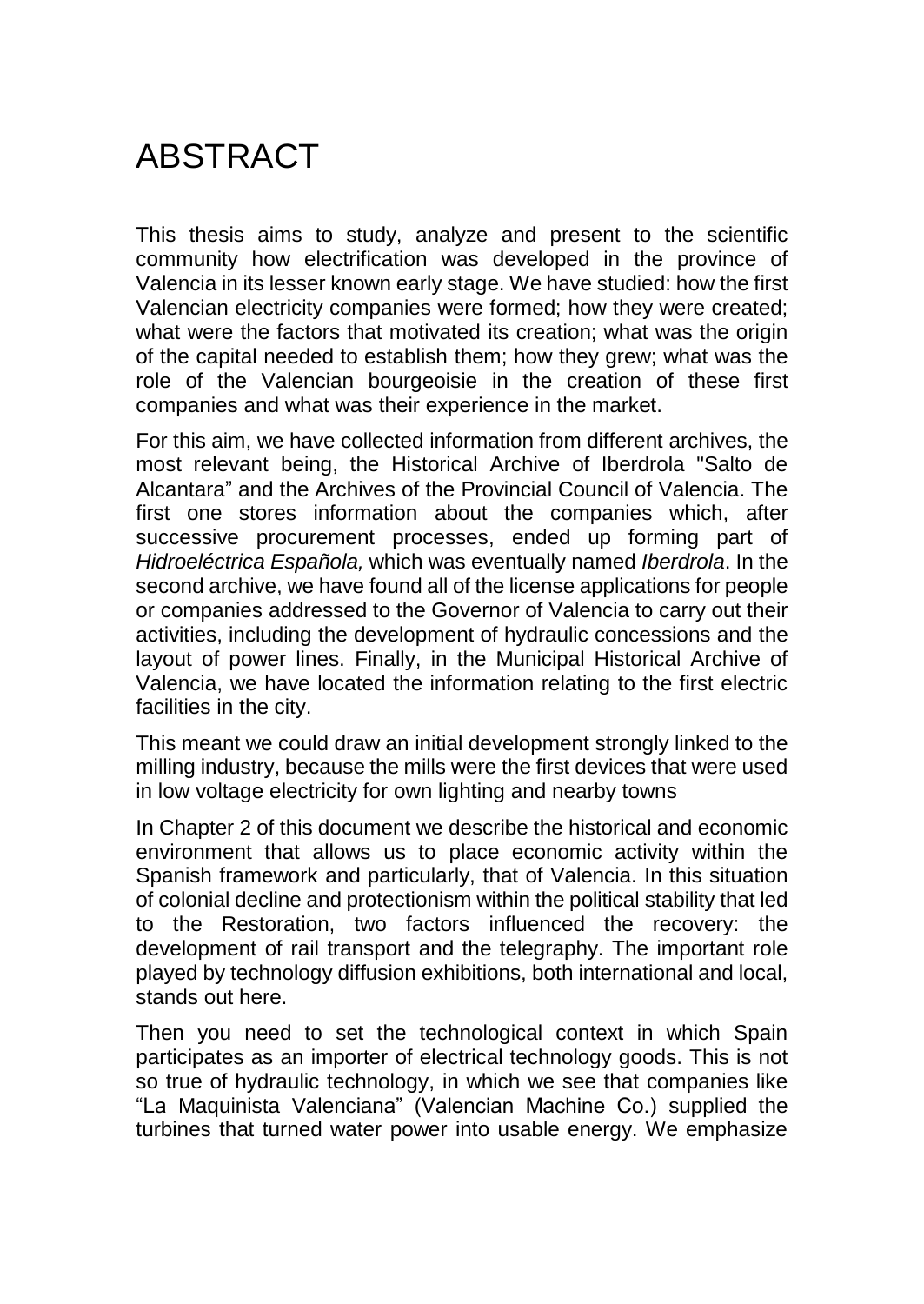## **ABSTRACT**

This thesis aims to study, analyze and present to the scientific community how electrification was developed in the province of Valencia in its lesser known early stage. We have studied: how the first Valencian electricity companies were formed; how they were created; what were the factors that motivated its creation; what was the origin of the capital needed to establish them; how they grew; what was the role of the Valencian bourgeoisie in the creation of these first companies and what was their experience in the market.

For this aim, we have collected information from different archives, the most relevant being, the Historical Archive of Iberdrola "Salto de Alcantara" and the Archives of the Provincial Council of Valencia. The first one stores information about the companies which, after successive procurement processes, ended up forming part of *Hidroeléctrica Española,* which was eventually named *Iberdrola*. In the second archive, we have found all of the license applications for people or companies addressed to the Governor of Valencia to carry out their activities, including the development of hydraulic concessions and the layout of power lines. Finally, in the Municipal Historical Archive of Valencia, we have located the information relating to the first electric facilities in the city.

This meant we could draw an initial development strongly linked to the milling industry, because the mills were the first devices that were used in low voltage electricity for own lighting and nearby towns

In Chapter 2 of this document we describe the historical and economic environment that allows us to place economic activity within the Spanish framework and particularly, that of Valencia. In this situation of colonial decline and protectionism within the political stability that led to the Restoration, two factors influenced the recovery: the development of rail transport and the telegraphy. The important role played by technology diffusion exhibitions, both international and local, stands out here.

Then you need to set the technological context in which Spain participates as an importer of electrical technology goods. This is not so true of hydraulic technology, in which we see that companies like "La Maquinista Valenciana" (Valencian Machine Co.) supplied the turbines that turned water power into usable energy. We emphasize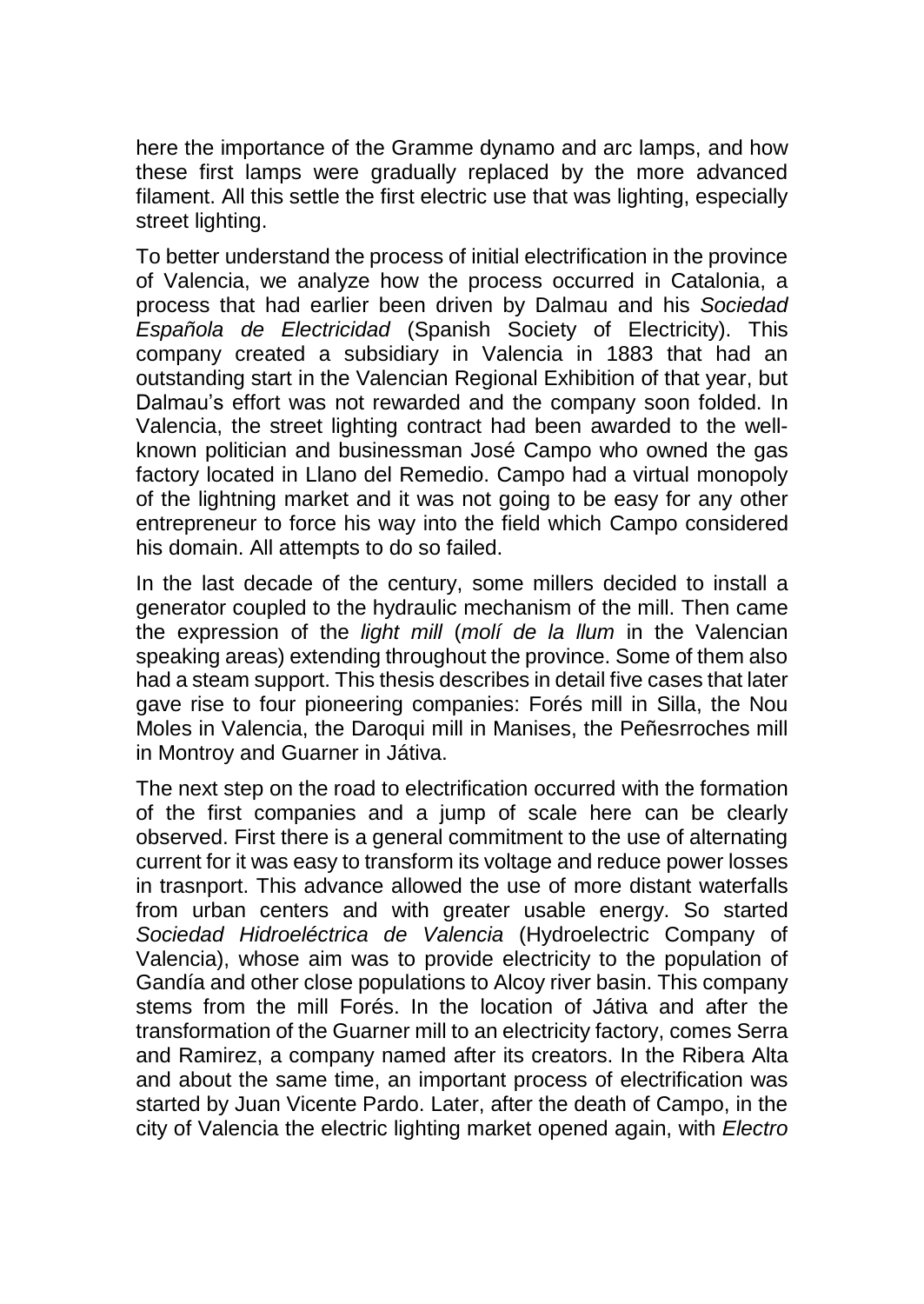here the importance of the Gramme dynamo and arc lamps, and how these first lamps were gradually replaced by the more advanced filament. All this settle the first electric use that was lighting, especially street lighting.

To better understand the process of initial electrification in the province of Valencia, we analyze how the process occurred in Catalonia, a process that had earlier been driven by Dalmau and his *Sociedad Española de Electricidad* (Spanish Society of Electricity). This company created a subsidiary in Valencia in 1883 that had an outstanding start in the Valencian Regional Exhibition of that year, but Dalmau's effort was not rewarded and the company soon folded. In Valencia, the street lighting contract had been awarded to the wellknown politician and businessman José Campo who owned the gas factory located in Llano del Remedio. Campo had a virtual monopoly of the lightning market and it was not going to be easy for any other entrepreneur to force his way into the field which Campo considered his domain. All attempts to do so failed.

In the last decade of the century, some millers decided to install a generator coupled to the hydraulic mechanism of the mill. Then came the expression of the *light mill* (*molí de la llum* in the Valencian speaking areas) extending throughout the province. Some of them also had a steam support. This thesis describes in detail five cases that later gave rise to four pioneering companies: Forés mill in Silla, the Nou Moles in Valencia, the Daroqui mill in Manises, the Peñesrroches mill in Montroy and Guarner in Játiva.

The next step on the road to electrification occurred with the formation of the first companies and a jump of scale here can be clearly observed. First there is a general commitment to the use of alternating current for it was easy to transform its voltage and reduce power losses in trasnport. This advance allowed the use of more distant waterfalls from urban centers and with greater usable energy. So started *Sociedad Hidroeléctrica de Valencia* (Hydroelectric Company of Valencia), whose aim was to provide electricity to the population of Gandía and other close populations to Alcoy river basin. This company stems from the mill Forés. In the location of Játiva and after the transformation of the Guarner mill to an electricity factory, comes Serra and Ramirez, a company named after its creators. In the Ribera Alta and about the same time, an important process of electrification was started by Juan Vicente Pardo. Later, after the death of Campo, in the city of Valencia the electric lighting market opened again, with *Electro*